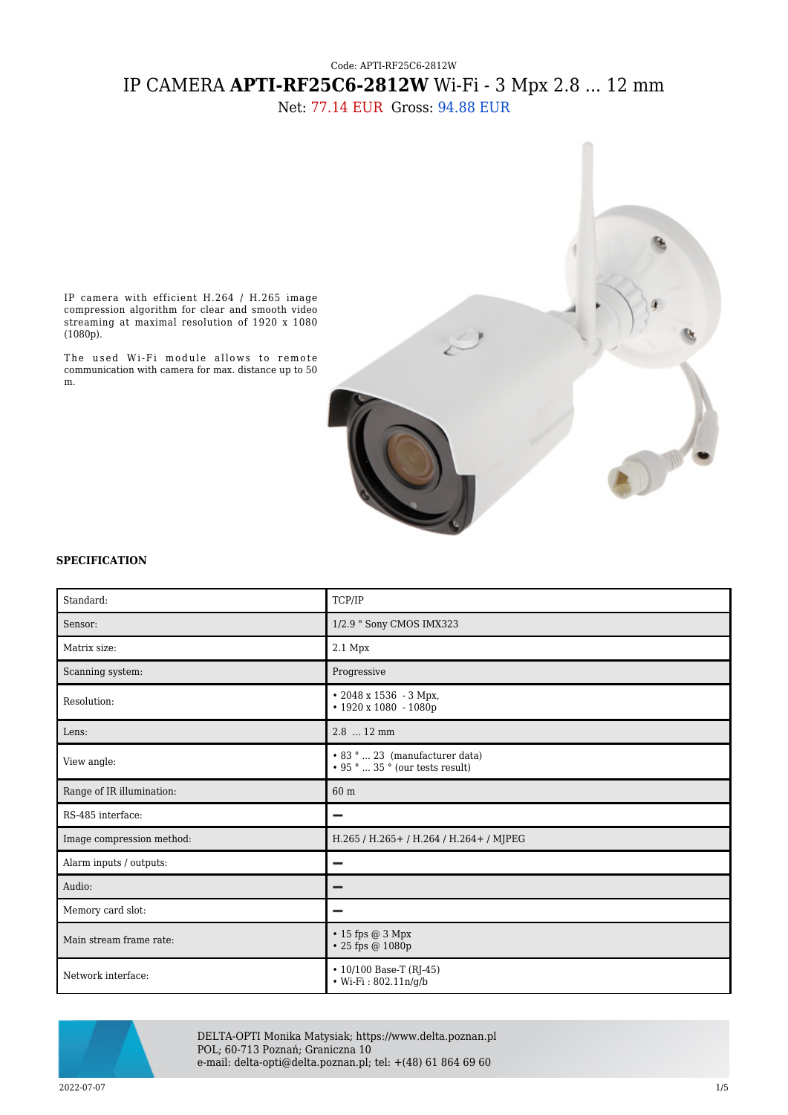## Code: APTI-RF25C6-2812W IP CAMERA **APTI-RF25C6-2812W** Wi-Fi - 3 Mpx 2.8 ... 12 mm

Net: 77.14 EUR Gross: 94.88 EUR



IP camera with efficient H.264 / H.265 image compression algorithm for clear and smooth video streaming at maximal resolution of 1920 x 1080 (1080p).

The used Wi-Fi module allows to remote communication with camera for max. distance up to 50 m.

## **SPECIFICATION**

| Standard:                 | TCP/IP                                                                  |
|---------------------------|-------------------------------------------------------------------------|
| Sensor:                   | 1/2.9 " Sony CMOS IMX323                                                |
| Matrix size:              | 2.1 Mpx                                                                 |
| Scanning system:          | Progressive                                                             |
| Resolution:               | $\cdot$ 2048 x 1536 - 3 Mpx,<br>$\cdot$ 1920 x 1080 - 1080p             |
| Lens:                     | 2.8  12 mm                                                              |
| View angle:               | • 83 °  23 (manufacturer data)<br>$\cdot$ 95 °  35 ° (our tests result) |
| Range of IR illumination: | 60 m                                                                    |
| RS-485 interface:         |                                                                         |
| Image compression method: | H.265 / H.265 + / H.264 / H.264 + / MJPEG                               |
| Alarm inputs / outputs:   | -                                                                       |
| Audio:                    |                                                                         |
| Memory card slot:         |                                                                         |
| Main stream frame rate:   | $\cdot$ 15 fps @ 3 Mpx<br>• 25 fps @ 1080p                              |
| Network interface:        | $\cdot$ 10/100 Base-T (RJ-45)<br>• Wi-Fi: $802.11n/q/b$                 |



DELTA-OPTI Monika Matysiak; https://www.delta.poznan.pl POL; 60-713 Poznań; Graniczna 10 e-mail: delta-opti@delta.poznan.pl; tel: +(48) 61 864 69 60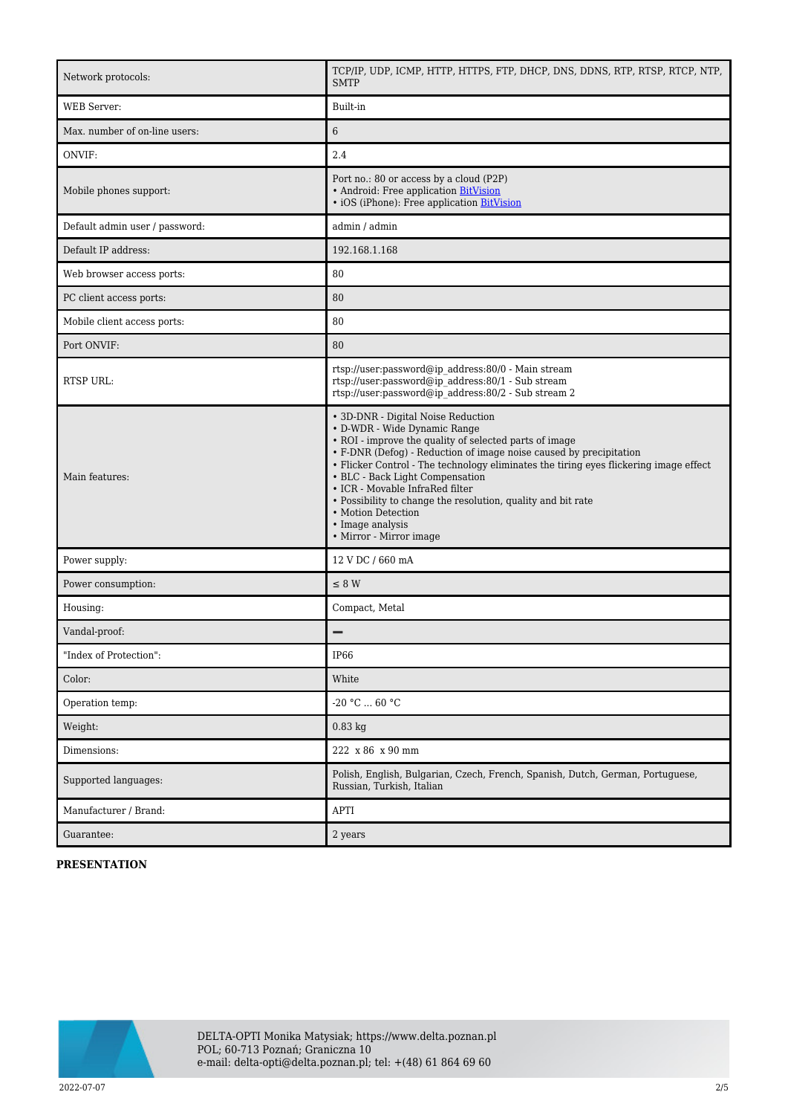| Network protocols:             | TCP/IP, UDP, ICMP, HTTP, HTTPS, FTP, DHCP, DNS, DDNS, RTP, RTSP, RTCP, NTP,<br><b>SMTP</b>                                                                                                                                                                                                                                                                                                                                                                                                             |
|--------------------------------|--------------------------------------------------------------------------------------------------------------------------------------------------------------------------------------------------------------------------------------------------------------------------------------------------------------------------------------------------------------------------------------------------------------------------------------------------------------------------------------------------------|
| WEB Server:                    | Built-in                                                                                                                                                                                                                                                                                                                                                                                                                                                                                               |
| Max. number of on-line users:  | $6\phantom{.}6$                                                                                                                                                                                                                                                                                                                                                                                                                                                                                        |
| ONVIF:                         | 2.4                                                                                                                                                                                                                                                                                                                                                                                                                                                                                                    |
| Mobile phones support:         | Port no.: 80 or access by a cloud (P2P)<br>• Android: Free application BitVision<br>• iOS (iPhone): Free application BitVision                                                                                                                                                                                                                                                                                                                                                                         |
| Default admin user / password: | admin / admin                                                                                                                                                                                                                                                                                                                                                                                                                                                                                          |
| Default IP address:            | 192.168.1.168                                                                                                                                                                                                                                                                                                                                                                                                                                                                                          |
| Web browser access ports:      | 80                                                                                                                                                                                                                                                                                                                                                                                                                                                                                                     |
| PC client access ports:        | 80                                                                                                                                                                                                                                                                                                                                                                                                                                                                                                     |
| Mobile client access ports:    | 80                                                                                                                                                                                                                                                                                                                                                                                                                                                                                                     |
| Port ONVIF:                    | 80                                                                                                                                                                                                                                                                                                                                                                                                                                                                                                     |
| <b>RTSP URL:</b>               | rtsp://user:password@ip_address:80/0 - Main stream<br>rtsp://user:password@ip_address:80/1 - Sub stream<br>rtsp://user.password@ip_address:80/2 - Sub stream 2                                                                                                                                                                                                                                                                                                                                         |
| Main features:                 | • 3D-DNR - Digital Noise Reduction<br>• D-WDR - Wide Dynamic Range<br>• ROI - improve the quality of selected parts of image<br>• F-DNR (Defog) - Reduction of image noise caused by precipitation<br>• Flicker Control - The technology eliminates the tiring eyes flickering image effect<br>• BLC - Back Light Compensation<br>• ICR - Movable InfraRed filter<br>• Possibility to change the resolution, quality and bit rate<br>• Motion Detection<br>• Image analysis<br>• Mirror - Mirror image |
| Power supply:                  | 12 V DC / 660 mA                                                                                                                                                                                                                                                                                                                                                                                                                                                                                       |
| Power consumption:             | $\leq 8$ W                                                                                                                                                                                                                                                                                                                                                                                                                                                                                             |
| Housing:                       | Compact, Metal                                                                                                                                                                                                                                                                                                                                                                                                                                                                                         |
| Vandal-proof:                  |                                                                                                                                                                                                                                                                                                                                                                                                                                                                                                        |
| "Index of Protection":         | IP66                                                                                                                                                                                                                                                                                                                                                                                                                                                                                                   |
| Color:                         | White                                                                                                                                                                                                                                                                                                                                                                                                                                                                                                  |
| Operation temp:                | -20 $°C$ 60 $°C$                                                                                                                                                                                                                                                                                                                                                                                                                                                                                       |
| Weight:                        | $0.83$ kg                                                                                                                                                                                                                                                                                                                                                                                                                                                                                              |
| Dimensions:                    | 222 x 86 x 90 mm                                                                                                                                                                                                                                                                                                                                                                                                                                                                                       |
| Supported languages:           | Polish, English, Bulgarian, Czech, French, Spanish, Dutch, German, Portuguese,<br>Russian, Turkish, Italian                                                                                                                                                                                                                                                                                                                                                                                            |
| Manufacturer / Brand:          | APTI                                                                                                                                                                                                                                                                                                                                                                                                                                                                                                   |
| Guarantee:                     | 2 years                                                                                                                                                                                                                                                                                                                                                                                                                                                                                                |

## **PRESENTATION**

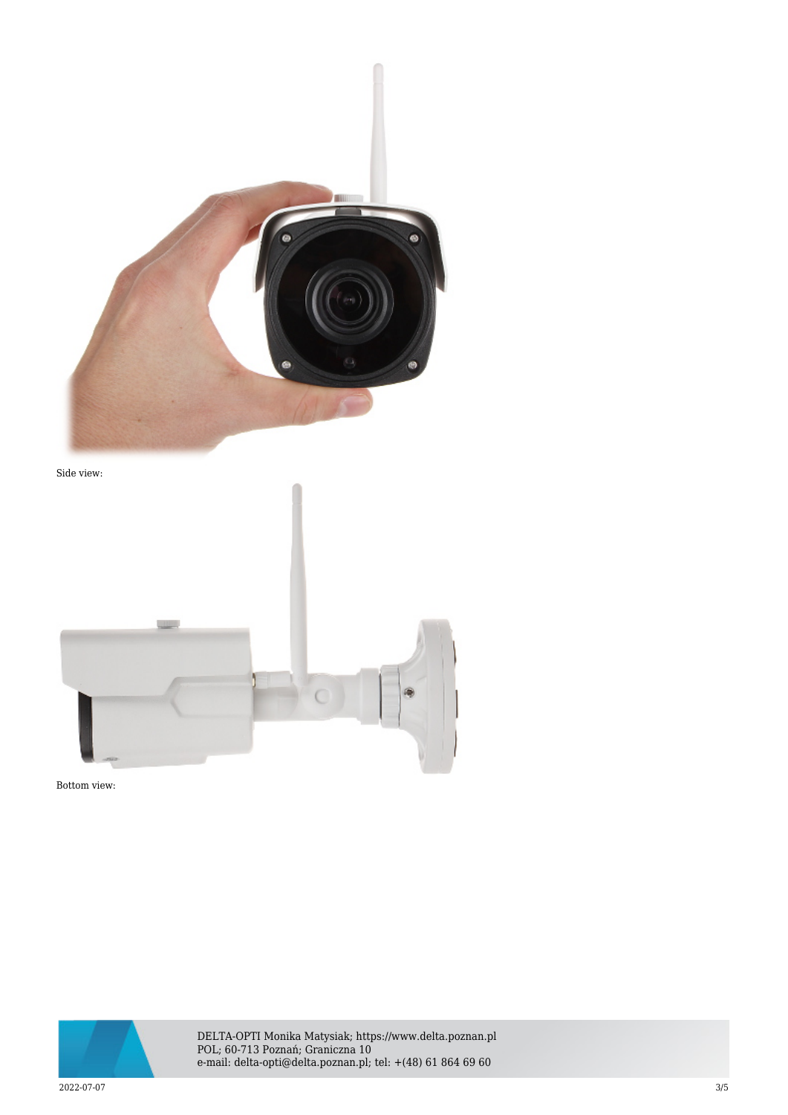

Side view:



Bottom view:



DELTA-OPTI Monika Matysiak; https://www.delta.poznan.pl POL; 60-713 Poznań; Graniczna 10 e-mail: delta-opti@delta.poznan.pl; tel: +(48) 61 864 69 60

2022-07-07 3/5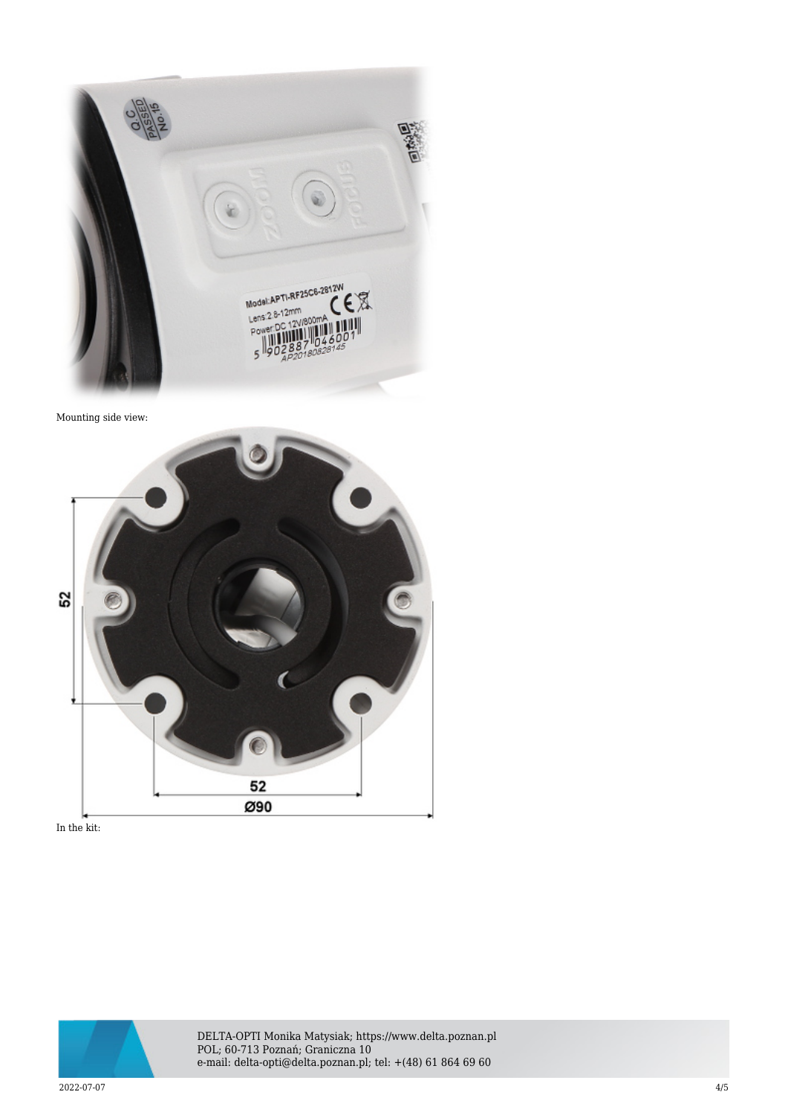

Mounting side view:



In the kit:



DELTA-OPTI Monika Matysiak; https://www.delta.poznan.pl POL; 60-713 Poznań; Graniczna 10 e-mail: delta-opti@delta.poznan.pl; tel: +(48) 61 864 69 60

2022-07-07 4/5